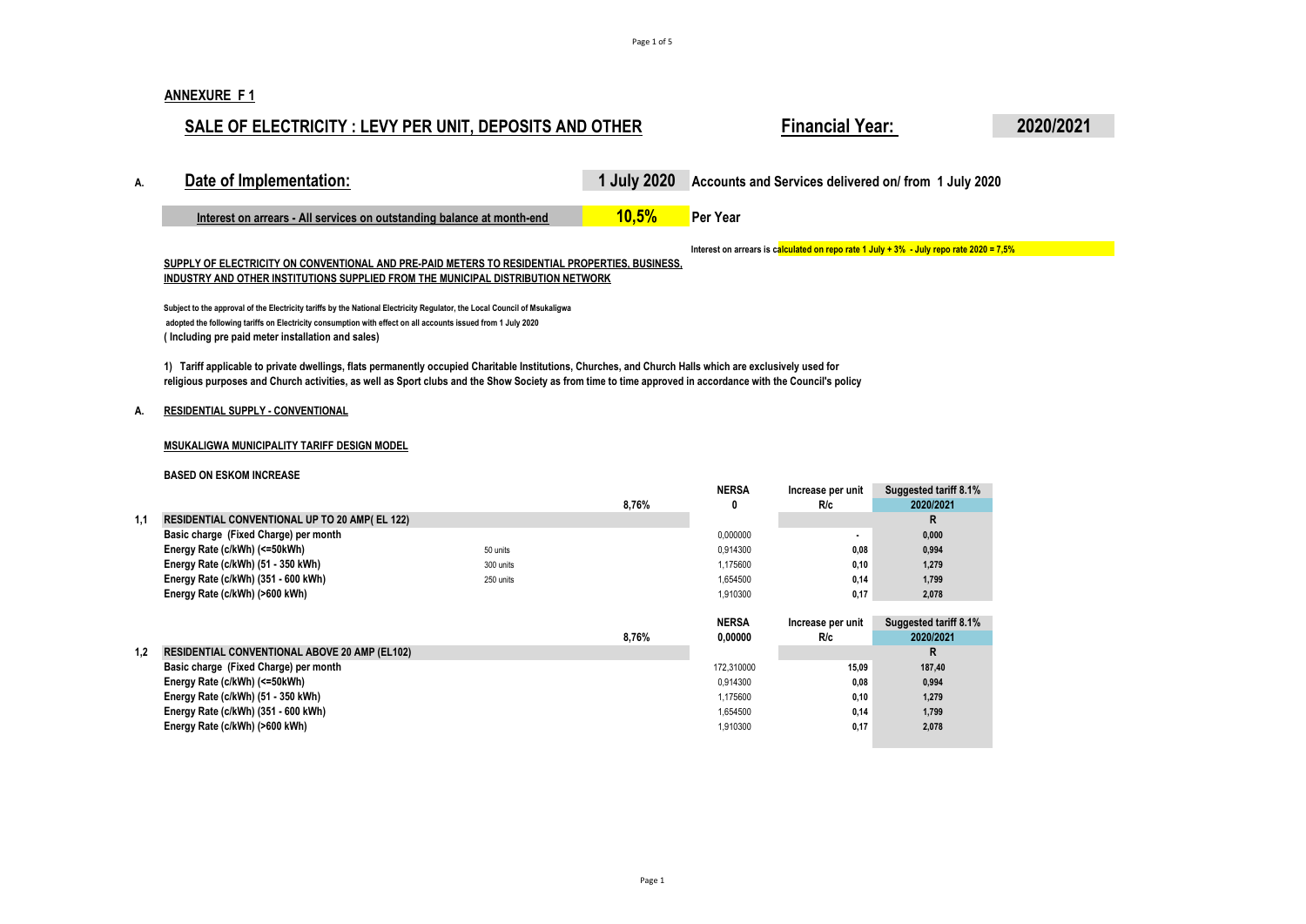### **ANNEXURE F 1**

## **SALE OF ELECTRICITY : LEVY PER UNIT, DEPOSITS AND OTHER Financial Year: 2020/2021**

| А. | Date of Implementation:                                                                                                                                                                                                                   | 1 July 2020 | Accounts and Services delivered on/ from 1 July 2020                                       |
|----|-------------------------------------------------------------------------------------------------------------------------------------------------------------------------------------------------------------------------------------------|-------------|--------------------------------------------------------------------------------------------|
|    | Interest on arrears - All services on outstanding balance at month-end                                                                                                                                                                    | 10,5%       | Per Year                                                                                   |
|    | SUPPLY OF ELECTRICITY ON CONVENTIONAL AND PRE-PAID METERS TO RESIDENTIAL PROPERTIES. BUSINESS.<br>INDUSTRY AND OTHER INSTITUTIONS SUPPLIED FROM THE MUNICIPAL DISTRIBUTION NETWORK                                                        |             | Interest on arrears is calculated on repo rate 1 July + $3\%$ - July repo rate 2020 = 7,5% |
|    | Subject to the approval of the Electricity tariffs by the National Electricity Regulator, the Local Council of Msukaligwa<br>adopted the following tariffs on Electricity consumption with effect on all accounts issued from 1 July 2020 |             |                                                                                            |

**( Including pre paid meter installation and sales)**

**1) Tariff applicable to private dwellings, flats permanently occupied Charitable Institutions, Churches, and Church Halls which are exclusively used for religious purposes and Church activities, as well as Sport clubs and the Show Society as from time to time approved in accordance with the Council's policy**

### **A. RESIDENTIAL SUPPLY - CONVENTIONAL**

### **MSUKALIGWA MUNICIPALITY TARIFF DESIGN MODEL**

### **BASED ON ESKOM INCREASE**

|     |                                                      |           |       | NERSA        | Increase per unit | Suggested tariff 8.1% |
|-----|------------------------------------------------------|-----------|-------|--------------|-------------------|-----------------------|
|     |                                                      |           | 8.76% | 0            | R/c               | 2020/2021             |
| 1.1 | <b>RESIDENTIAL CONVENTIONAL UP TO 20 AMP(EL 122)</b> |           |       |              |                   | R                     |
|     | Basic charge (Fixed Charge) per month                |           |       | 0.000000     |                   | 0,000                 |
|     | Energy Rate (c/kWh) (<=50kWh)                        | 50 units  |       | 0.914300     | 0,08              | 0,994                 |
|     | Energy Rate (c/kWh) (51 - 350 kWh)                   | 300 units |       | 1.175600     | 0.10              | 1,279                 |
|     | Energy Rate (c/kWh) (351 - 600 kWh)                  | 250 units |       | 1.654500     | 0.14              | 1,799                 |
|     | Energy Rate (c/kWh) (>600 kWh)                       |           |       | 1.910300     | 0.17              | 2,078                 |
|     |                                                      |           |       |              |                   |                       |
|     |                                                      |           |       | <b>NERSA</b> | Increase per unit | Suggested tariff 8.1% |

|     |                                                      | 8.76% | 0.00000    | <b>R/c</b> | 2020/2021 |
|-----|------------------------------------------------------|-------|------------|------------|-----------|
| 1.2 | <b>RESIDENTIAL CONVENTIONAL ABOVE 20 AMP (EL102)</b> |       |            |            |           |
|     | Basic charge (Fixed Charge) per month                |       | 172.310000 | 15.09      | 187,40    |
|     | Energy Rate (c/kWh) (<=50kWh)                        |       | 0.914300   | 0.08       | 0,994     |
|     | Energy Rate (c/kWh) (51 - 350 kWh)                   |       | 1.175600   | 0.10       | 1,279     |
|     | Energy Rate (c/kWh) (351 - 600 kWh)                  |       | 1.654500   | 0.14       | 1,799     |
|     | Energy Rate (c/kWh) (>600 kWh)                       |       | 1.910300   | 0.17       | 2,078     |
|     |                                                      |       |            |            |           |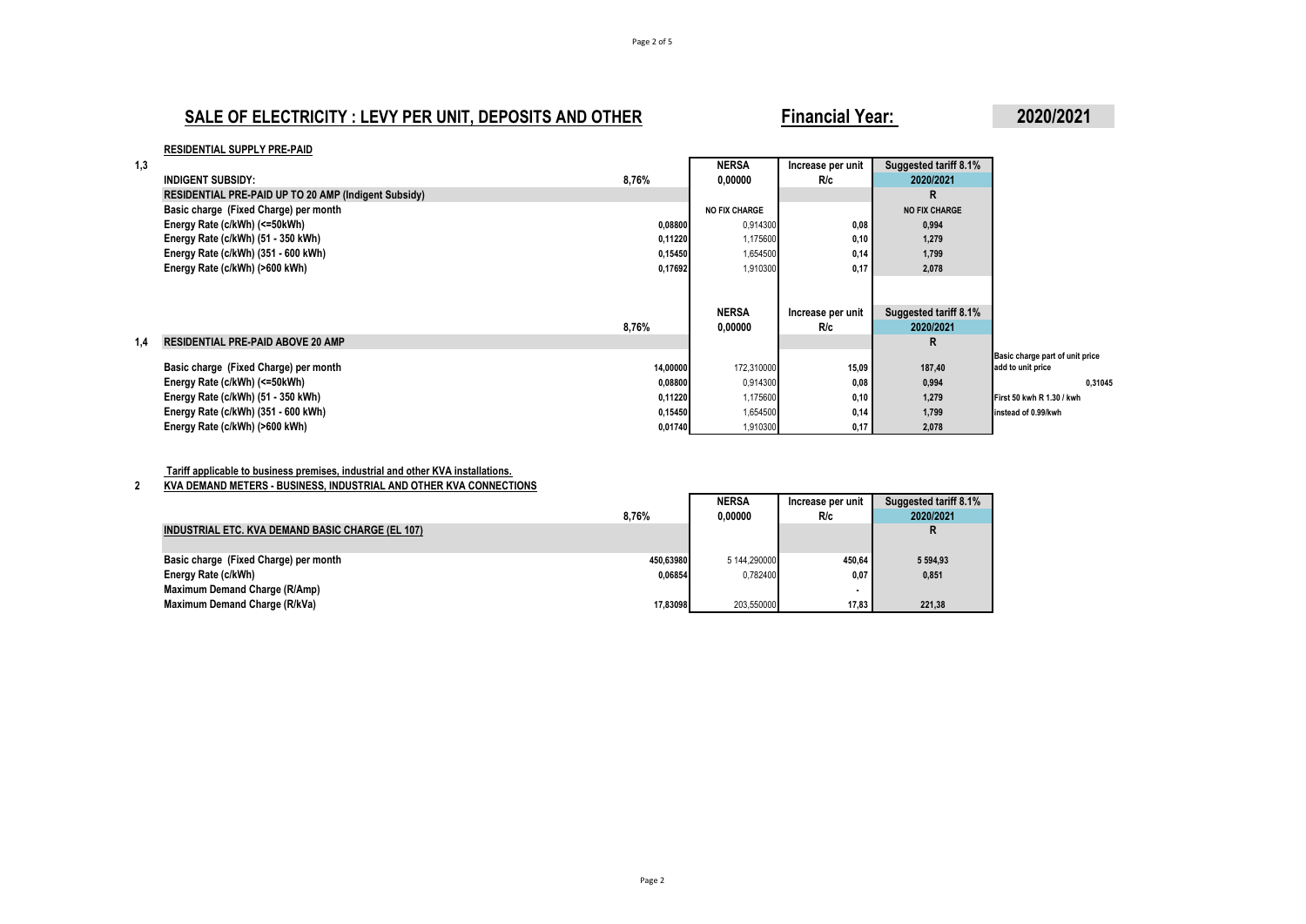## **SALE OF ELECTRICITY : LEVY PER UNIT, DEPOSITS AND OTHER** Financial Year: 2020/2021

### **RESIDENTIAL SUPPLY PRE-PAID**

| 1.3 |                                                      |          | <b>NERSA</b>         | Increase per unit | Suggested tariff 8.1% |                                 |
|-----|------------------------------------------------------|----------|----------------------|-------------------|-----------------------|---------------------------------|
|     | <b>INDIGENT SUBSIDY:</b>                             | 8,76%    | 0,00000              | R/c               | 2020/2021             |                                 |
|     | RESIDENTIAL PRE-PAID UP TO 20 AMP (Indigent Subsidy) |          |                      |                   | R                     |                                 |
|     | Basic charge (Fixed Charge) per month                |          | <b>NO FIX CHARGE</b> |                   | <b>NO FIX CHARGE</b>  |                                 |
|     | Energy Rate (c/kWh) (<=50kWh)                        | 0,08800  | 0,914300             | 0,08              | 0,994                 |                                 |
|     | Energy Rate (c/kWh) (51 - 350 kWh)                   | 0,11220  | 1,175600             | 0,10              | 1,279                 |                                 |
|     | Energy Rate (c/kWh) (351 - 600 kWh)                  | 0,15450  | 1,654500             | 0,14              | 1,799                 |                                 |
|     | Energy Rate (c/kWh) (>600 kWh)                       | 0,17692  | 1,910300             | 0,17              | 2,078                 |                                 |
|     |                                                      |          |                      |                   |                       |                                 |
|     |                                                      |          |                      |                   |                       |                                 |
|     |                                                      |          | <b>NERSA</b>         | Increase per unit | Suggested tariff 8.1% |                                 |
|     |                                                      | 8,76%    | 0,00000              | R/c               | 2020/2021             |                                 |
| 1.4 | <b>RESIDENTIAL PRE-PAID ABOVE 20 AMP</b>             |          |                      |                   | R                     |                                 |
|     |                                                      |          |                      |                   |                       | Basic charge part of unit price |
|     | Basic charge (Fixed Charge) per month                | 14,00000 | 172,310000           | 15,09             | 187,40                | add to unit price               |
|     | Energy Rate (c/kWh) (<=50kWh)                        | 0,08800  | 0,914300             | 0,08              | 0,994                 | 0.31045                         |
|     | Energy Rate (c/kWh) (51 - 350 kWh)                   | 0,11220  | 1,175600             | 0,10              | 1,279                 | First 50 kwh R 1.30 / kwh       |
|     | Energy Rate (c/kWh) (351 - 600 kWh)                  | 0,15450  | 1,654500             | 0,14              | 1,799                 | instead of 0.99/kwh             |
|     | Energy Rate (c/kWh) (>600 kWh)                       | 0,01740  | 1,910300             | 0,17              | 2,078                 |                                 |

### **Tariff applicable to business premises, industrial and other KVA installations.**

### **2 KVA DEMAND METERS - BUSINESS, INDUSTRIAL AND OTHER KVA CONNECTIONS**

|                                                  |           | NERSA        | Increase per unit | Suggested tariff 8.1% |
|--------------------------------------------------|-----------|--------------|-------------------|-----------------------|
|                                                  | 8.76%     | 0.00000      | <b>R/c</b>        | 2020/2021             |
| INDUSTRIAL ETC. KVA DEMAND BASIC CHARGE (EL 107) |           |              |                   | R                     |
|                                                  |           |              |                   |                       |
| Basic charge (Fixed Charge) per month            | 450.63980 | 5 144.290000 | 450.64            | 5 5 9 4 . 9 3         |
| Energy Rate (c/kWh)                              | 0.06854   | 0.782400     | 0.07              | 0,851                 |
| Maximum Demand Charge (R/Amp)                    |           |              |                   |                       |
| Maximum Demand Charge (R/kVa)                    | 17.83098  | 203,550000   | 17,83             | 221,38                |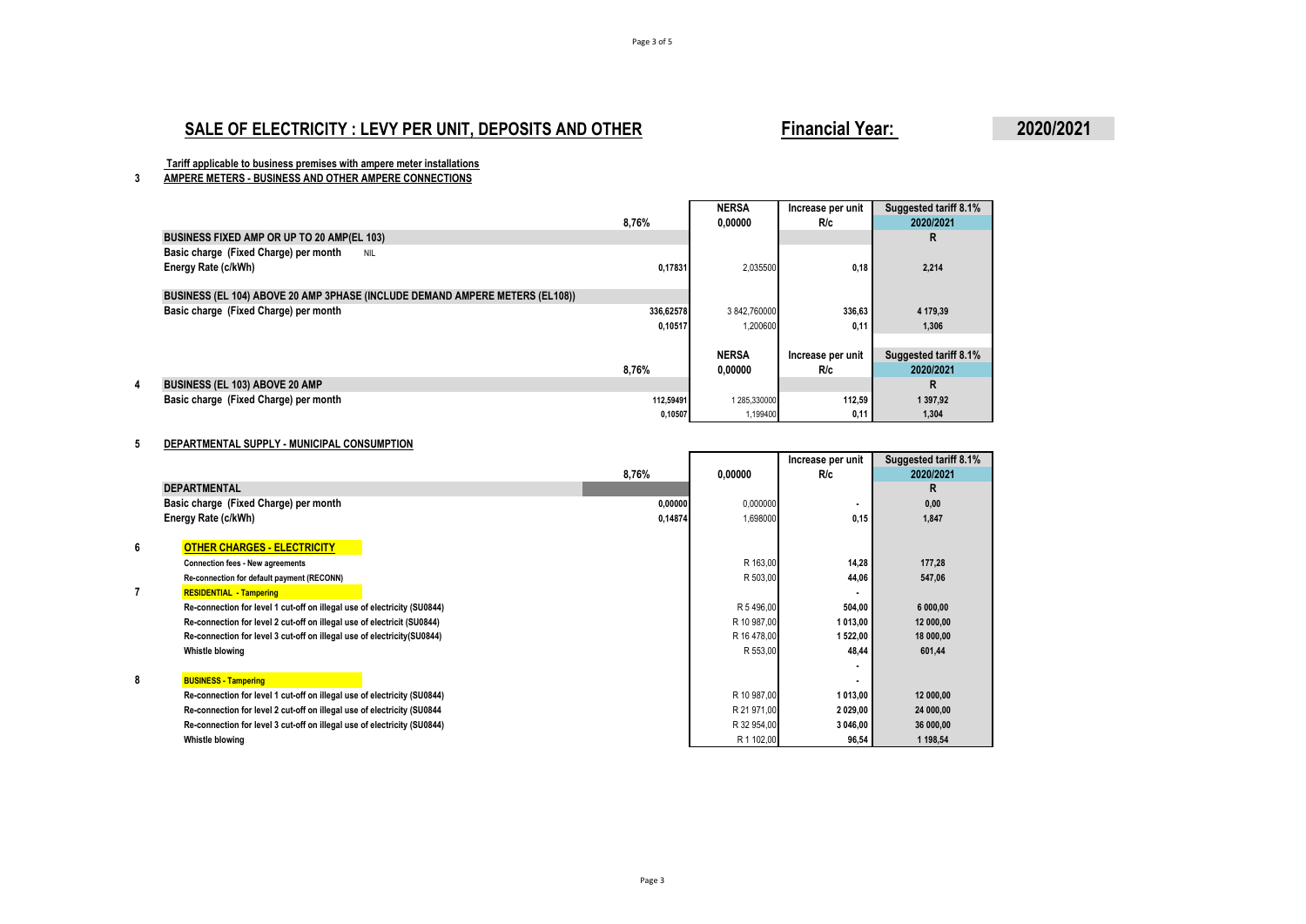## **SALE OF ELECTRICITY : LEVY PER UNIT, DEPOSITS AND OTHER** Financial Year: 2020/2021

 **Tariff applicable to business premises with ampere meter installations**

**3 AMPERE METERS - BUSINESS AND OTHER AMPERE CONNECTIONS**

|                                                                              |           | <b>NERSA</b> | Increase per unit | Suggested tariff 8.1% |
|------------------------------------------------------------------------------|-----------|--------------|-------------------|-----------------------|
|                                                                              | 8,76%     | 0.00000      | R/c               | 2020/2021             |
| BUSINESS FIXED AMP OR UP TO 20 AMP(EL 103)                                   |           |              |                   | R                     |
| Basic charge (Fixed Charge) per month<br><b>NIL</b>                          |           |              |                   |                       |
| Energy Rate (c/kWh)                                                          | 0,17831   | 2,035500     | 0,18              | 2,214                 |
| BUSINESS (EL 104) ABOVE 20 AMP 3PHASE (INCLUDE DEMAND AMPERE METERS (EL108)) |           |              |                   |                       |
| Basic charge (Fixed Charge) per month                                        | 336.62578 | 3842.760000  | 336,63            | 4 179,39              |
|                                                                              | 0,10517   | 1.200600     | 0.11              | 1.306                 |
|                                                                              |           |              |                   |                       |
|                                                                              |           | <b>NERSA</b> | Increase per unit | Suggested tariff 8.1% |
|                                                                              | 8.76%     | 0.00000      | R/c               | 2020/2021             |
| <b>BUSINESS (EL 103) ABOVE 20 AMP</b>                                        |           |              |                   | R                     |
| Basic charge (Fixed Charge) per month                                        | 112,59491 | 1 285,330000 | 112,59            | 1 397,92              |
|                                                                              | 0,10507   | 1,199400     | 0,11              | 1,304                 |

### **5 DEPARTMENTAL SUPPLY - MUNICIPAL CONSUMPTION**

|   |                                                                          |         |             | Increase per unit | Suggested tariff 8.1% |
|---|--------------------------------------------------------------------------|---------|-------------|-------------------|-----------------------|
|   |                                                                          | 8,76%   | 0,00000     | R/c               | 2020/2021             |
|   | <b>DEPARTMENTAL</b>                                                      |         |             |                   | R                     |
|   | Basic charge (Fixed Charge) per month                                    | 0,00000 | 0,000000    |                   | 0,00                  |
|   | Energy Rate (c/kWh)                                                      | 0,14874 | 1,698000    | 0,15              | 1,847                 |
|   |                                                                          |         |             |                   |                       |
| 6 | <b>OTHER CHARGES - ELECTRICITY</b>                                       |         |             |                   |                       |
|   | <b>Connection fees - New agreements</b>                                  |         | R 163,00    | 14,28             | 177.28                |
|   | Re-connection for default payment (RECONN)                               |         | R 503,00    | 44,06             | 547,06                |
| 7 | <b>RESIDENTIAL - Tampering</b>                                           |         |             |                   |                       |
|   | Re-connection for level 1 cut-off on illegal use of electricity (SU0844) |         | R 5 496,00  | 504,00            | 6 000,00              |
|   | Re-connection for level 2 cut-off on illegal use of electricit (SU0844)  |         | R 10 987,00 | 1 013,00          | 12 000,00             |
|   | Re-connection for level 3 cut-off on illegal use of electricity(SU0844)  |         | R 16 478,00 | 1 522,00          | 18 000,00             |
|   | Whistle blowing                                                          |         | R 553,00    | 48,44             | 601,44                |
|   |                                                                          |         |             |                   |                       |
| 8 | <b>BUSINESS - Tampering</b>                                              |         |             |                   |                       |
|   | Re-connection for level 1 cut-off on illegal use of electricity (SU0844) |         | R 10 987,00 | 1 013,00          | 12 000,00             |
|   | Re-connection for level 2 cut-off on illegal use of electricity (SU0844  |         | R 21 971,00 | 2029,00           | 24 000,00             |
|   | Re-connection for level 3 cut-off on illegal use of electricity (SU0844) |         | R 32 954,00 | 3 046,00          | 36 000,00             |
|   | Whistle blowing                                                          |         | R 1 102,00  | 96,54             | 1 198,54              |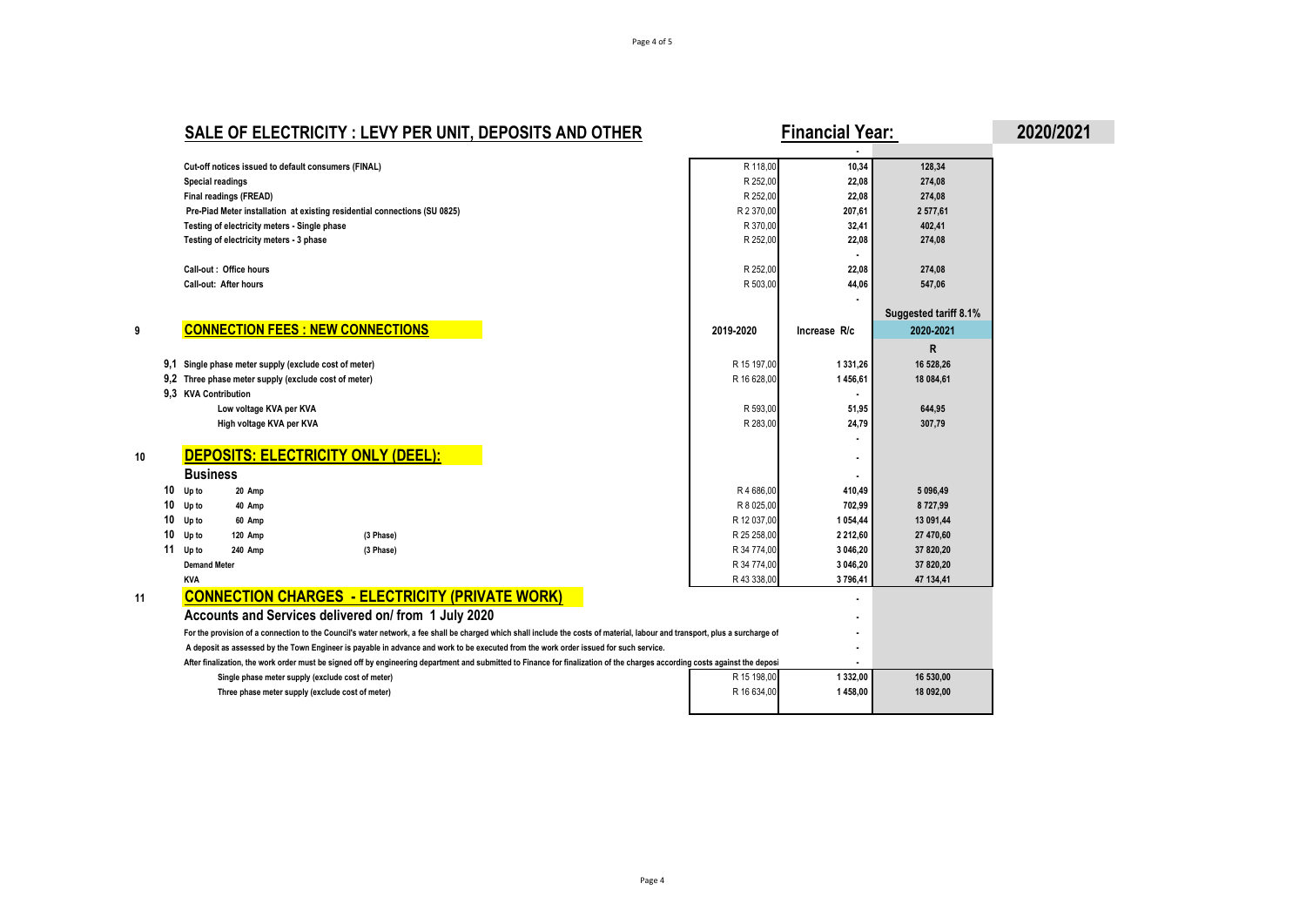# **SALE OF ELECTRICITY : LEVY PER UNIT, DEPOSITS AND OTHER** Financial Year: 2020/2021

|    |                                                                                                                                                                               |             | ٠             |                       |
|----|-------------------------------------------------------------------------------------------------------------------------------------------------------------------------------|-------------|---------------|-----------------------|
|    | Cut-off notices issued to default consumers (FINAL)                                                                                                                           | R 118.00    | 10,34         | 128,34                |
|    | Special readings                                                                                                                                                              | R 252,00    | 22,08         | 274,08                |
|    | Final readings (FREAD)                                                                                                                                                        | R 252,00    | 22,08         | 274,08                |
|    | Pre-Piad Meter installation at existing residential connections (SU 0825)                                                                                                     | R 2 370,00  | 207,61        | 2 577,61              |
|    | Testing of electricity meters - Single phase                                                                                                                                  | R 370,00    | 32,41         | 402,41                |
|    | Testing of electricity meters - 3 phase                                                                                                                                       | R 252,00    | 22,08         | 274,08                |
|    |                                                                                                                                                                               |             |               |                       |
|    | Call-out: Office hours                                                                                                                                                        | R 252,00    | 22.08         | 274,08                |
|    | Call-out: After hours                                                                                                                                                         | R 503.00    | 44,06         | 547,06                |
|    |                                                                                                                                                                               |             |               |                       |
|    |                                                                                                                                                                               |             |               | Suggested tariff 8.1% |
|    | <b>CONNECTION FEES : NEW CONNECTIONS</b>                                                                                                                                      | 2019-2020   | Increase R/c  | 2020-2021             |
|    |                                                                                                                                                                               |             |               | $\mathsf{R}$          |
|    | 9.1<br>Single phase meter supply (exclude cost of meter)                                                                                                                      | R 15 197.00 | 1 3 3 1 . 2 6 | 16 528.26             |
|    | 9,2 Three phase meter supply (exclude cost of meter)                                                                                                                          | R 16 628,00 | 1456,61       | 18 084,61             |
|    | 9.3 KVA Contribution                                                                                                                                                          |             |               |                       |
|    | Low voltage KVA per KVA                                                                                                                                                       | R 593,00    | 51,95         | 644,95                |
|    | High voltage KVA per KVA                                                                                                                                                      | R 283,00    | 24,79         | 307,79                |
|    |                                                                                                                                                                               |             |               |                       |
|    | DEPOSITS: ELECTRICITY ONLY (DEEL):                                                                                                                                            |             |               |                       |
| 10 |                                                                                                                                                                               |             | ٠             |                       |
|    | <b>Business</b>                                                                                                                                                               |             |               |                       |
| 10 | Up to<br>20 Amp                                                                                                                                                               | R4686.00    | 410,49        | 5 096,49              |
| 10 | Up to<br>40 Amp                                                                                                                                                               | R 8 025,00  | 702,99        | 8727,99               |
| 10 | Up to<br>60 Amp                                                                                                                                                               | R 12 037,00 | 1 0 54,44     | 13 091,44             |
| 10 | Up to<br><b>120 Amp</b><br>(3 Phase)                                                                                                                                          | R 25 258,00 | 2 2 1 2 , 6 0 | 27 470,60             |
|    | 11<br>Up to<br>240 Amp<br>(3 Phase)                                                                                                                                           | R 34 774,00 | 3 046,20      | 37 820,20             |
|    | <b>Demand Meter</b>                                                                                                                                                           | R 34 774,00 | 3 046,20      | 37 820,20             |
|    | <b>KVA</b>                                                                                                                                                                    | R 43 338,00 | 3796,41       | 47 134,41             |
| 11 | <b>CONNECTION CHARGES - ELECTRICITY (PRIVATE WORK)</b>                                                                                                                        |             |               |                       |
|    | Accounts and Services delivered on/ from 1 July 2020                                                                                                                          |             |               |                       |
|    | For the provision of a connection to the Council's water network, a fee shall be charged which shall include the costs of material, labour and transport, plus a surcharge of |             |               |                       |
|    | A deposit as assessed by the Town Engineer is payable in advance and work to be executed from the work order issued for such service.                                         |             |               |                       |
|    | After finalization, the work order must be signed off by engineering department and submitted to Finance for finalization of the charges according costs against the deposity |             |               |                       |
|    | Single phase meter supply (exclude cost of meter)                                                                                                                             | R 15 198,00 | 1 332,00      | 16 530,00             |
|    | Three phase meter supply (exclude cost of meter)                                                                                                                              | R 16 634,00 | 1458,00       | 18 092,00             |
|    |                                                                                                                                                                               |             |               |                       |